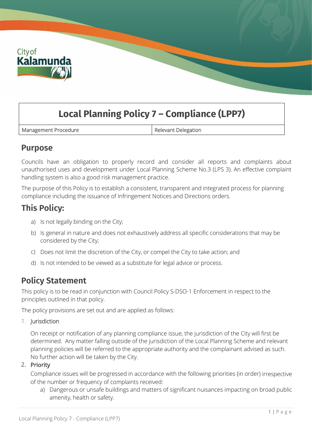

# **Local Planning Policy 7 – Compliance (LPP7)**

Management Procedure **Relevant Delegation** 

### **Purpose**

Councils have an obligation to properly record and consider all reports and complaints about unauthorised uses and development under Local Planning Scheme No.3 (LPS 3). An effective complaint handling system is also a good risk management practice.

The purpose of this Policy is to establish a consistent, transparent and integrated process for planning compliance including the issuance of Infringement Notices and Directions orders.

## **This Policy:**

- a) Is not legally binding on the City;
- b) Is general in nature and does not exhaustively address all specific considerations that may be considered by the City;
- c) Does not limit the discretion of the City, or compel the City to take action; and
- d) Is not intended to be viewed as a substitute for legal advice or process.

### **Policy Statement**

This policy is to be read in conjunction with Council Policy S-DSO-1 Enforcement in respect to the principles outlined in that policy.

The policy provisions are set out and are applied as follows:

#### 1. Jurisdiction

On receipt or notification of any planning compliance issue, the jurisdiction of the City will first be determined. Any matter falling outside of the jurisdiction of the Local Planning Scheme and relevant planning policies will be referred to the appropriate authority and the complainant advised as such. No further action will be taken by the City.

#### 2. Priority

Compliance issues will be progressed in accordance with the following priorities (in order) irrespective of the number or frequency of complaints received:

a) Dangerous or unsafe buildings and matters of significant nuisances impacting on broad public amenity, health or safety.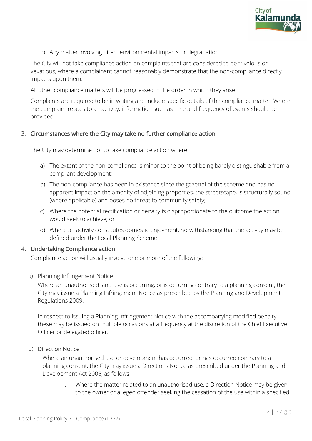

b) Any matter involving direct environmental impacts or degradation.

The City will not take compliance action on complaints that are considered to be frivolous or vexatious, where a complainant cannot reasonably demonstrate that the non-compliance directly impacts upon them.

All other compliance matters will be progressed in the order in which they arise.

Complaints are required to be in writing and include specific details of the compliance matter. Where the complaint relates to an activity, information such as time and frequency of events should be provided.

#### 3. Circumstances where the City may take no further compliance action

The City may determine not to take compliance action where:

- a) The extent of the non-compliance is minor to the point of being barely distinguishable from a compliant development;
- b) The non-compliance has been in existence since the gazettal of the scheme and has no apparent impact on the amenity of adjoining properties, the streetscape, is structurally sound (where applicable) and poses no threat to community safety;
- c) Where the potential rectification or penalty is disproportionate to the outcome the action would seek to achieve; or
- d) Where an activity constitutes domestic enjoyment, notwithstanding that the activity may be defined under the Local Planning Scheme.

#### 4. Undertaking Compliance action

Compliance action will usually involve one or more of the following:

#### a) Planning Infringement Notice

Where an unauthorised land use is occurring, or is occurring contrary to a planning consent, the City may issue a Planning Infringement Notice as prescribed by the Planning and Development Regulations 2009.

In respect to issuing a Planning Infringement Notice with the accompanying modified penalty, these may be issued on multiple occasions at a frequency at the discretion of the Chief Executive Officer or delegated officer.

#### b) Direction Notice

Where an unauthorised use or development has occurred, or has occurred contrary to a planning consent, the City may issue a Directions Notice as prescribed under the Planning and Development Act 2005, as follows:

i. Where the matter related to an unauthorised use, a Direction Notice may be given to the owner or alleged offender seeking the cessation of the use within a specified